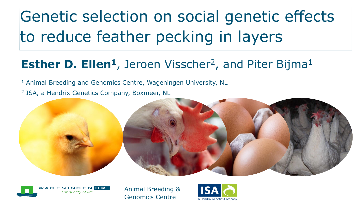# Genetic selection on social genetic effects to reduce feather pecking in layers

#### **Esther D. Ellen<sup>1</sup>**, Jeroen Visscher<sup>2</sup>, and Piter Bijma<sup>1</sup>

<sup>1</sup> Animal Breeding and Genomics Centre, Wageningen University, NL <sup>2</sup> ISA, a Hendrix Genetics Company, Boxmeer, NL





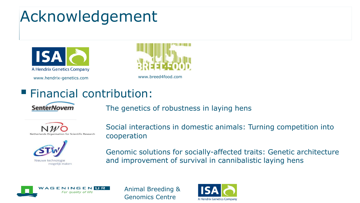# Acknowledgement



www.hendrix-genetics.com www.breed4food.com



#### Financial contribution:



The genetics of robustness in laying hens





Social interactions in domestic animals: Turning competition into cooperation

Genomic solutions for socially-affected traits: Genetic architecture and improvement of survival in cannibalistic laying hens



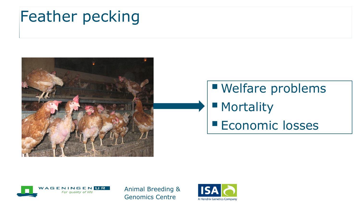# Feather pecking



# Welfare problems **Mortality Economic losses**



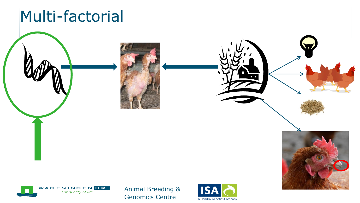## Multi-factorial

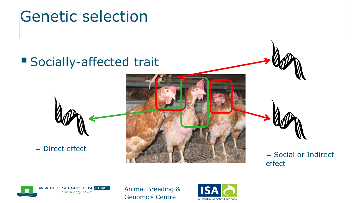## Genetic selection





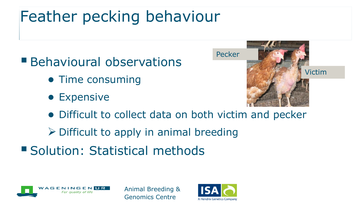# Feather pecking behaviour

**Behavioural observations** 

- Time consuming
- Expensive



- Difficult to collect data on both victim and pecker
- $\triangleright$  Difficult to apply in animal breeding
- **Solution: Statistical methods**



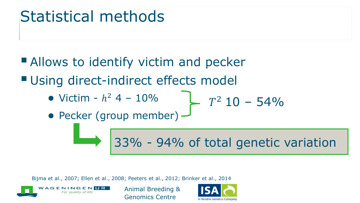## Statistical methods

**Allows to identify victim and pecker Using direct-indirect effects model** 

• Victim -  $h^2$  4 - 10%

$$
T^2 10 - 54\%
$$

• Pecker (group member)  $\rightarrow$ 

33% - 94% of total genetic variation

Bijma et al., 2007; Ellen et al., 2008; Peeters et al., 2012; Brinker et al., 2014



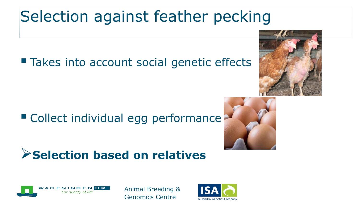# Selection against feather pecking

### ■ Takes into account social genetic effects

## ■ Collect individual egg performance

## **Selection based on relatives**







![](_page_7_Picture_8.jpeg)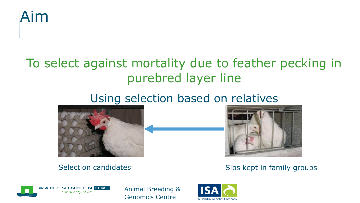![](_page_8_Picture_0.jpeg)

### To select against mortality due to feather pecking in purebred layer line

#### Using selection based on relatives

![](_page_8_Picture_3.jpeg)

![](_page_8_Picture_4.jpeg)

Selection candidates Sibs kept in family groups

![](_page_8_Picture_7.jpeg)

![](_page_8_Picture_9.jpeg)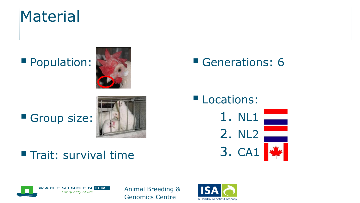## **Material**

### **Population:**

![](_page_9_Picture_2.jpeg)

#### **Trait: survival time**

#### Generations: 6

**Locations:** 1. NL1 2. NL2 3. CA1

![](_page_9_Picture_6.jpeg)

![](_page_9_Picture_8.jpeg)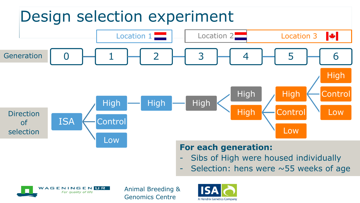# Design selection experiment

![](_page_10_Figure_1.jpeg)

#### **For each generation:**

- Sibs of High were housed individually
- Selection: hens were  $\sim$  55 weeks of age

![](_page_10_Picture_5.jpeg)

![](_page_10_Picture_7.jpeg)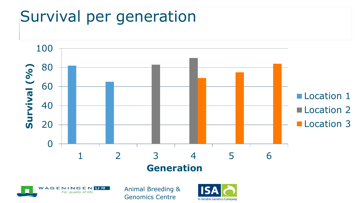# Survival per generation

![](_page_11_Figure_1.jpeg)

![](_page_11_Picture_2.jpeg)

![](_page_11_Picture_4.jpeg)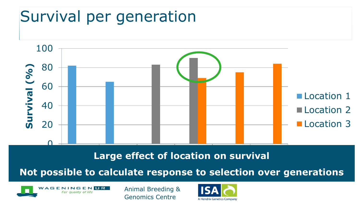# Survival per generation

![](_page_12_Figure_1.jpeg)

**Large effect of location on survival** 

**Not possible to calculate response to selection over generations** 

![](_page_12_Picture_4.jpeg)

![](_page_12_Picture_6.jpeg)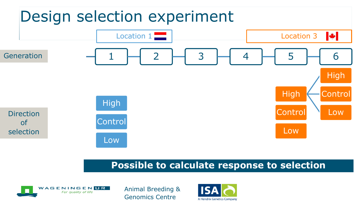# Design selection experiment

![](_page_13_Figure_1.jpeg)

#### **Possible to calculate response to selection**

![](_page_13_Picture_3.jpeg)

![](_page_13_Picture_5.jpeg)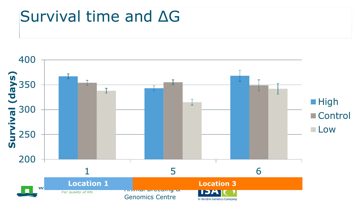## Survival time and ΔG

![](_page_14_Figure_1.jpeg)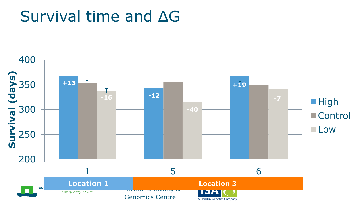## Survival time and ΔG

![](_page_15_Figure_1.jpeg)